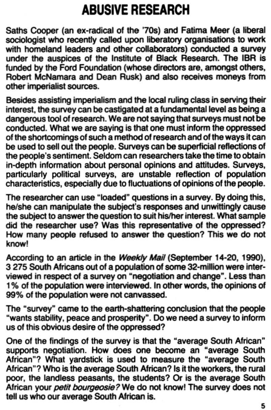## **ABUSIVE RESEARCH**

Saths Cooper (an ex-radical of the '70s) and Fatima Meer (a liberal sociologist who recently called upon Iiberatory organisations to work with homeland leaders and other collaborators) conducted a survey under the auspices of the Institute of Black Research. The IBR is funded by the Ford Foundation (whose directors are, amongst others, Robert McNamara and Dean Rusk) and also receives moneys from other imperialist sources.

Besides assisting imperialism and the local ruling class in serving their interest, the survey can be castigated at a fundamental level as being a dangerous tool of research. We are not saying that surveys must not be conducted. What we are saying is that one must inform the oppressed of the shortcomings of such a method of research and of the ways it can be used to sell out the people. Surveys can be superficial reflections of the people's sentiment. Seldom can researchers take the time to obtain in-depth information about personal opinions and attitudes. Surveys, particularly political surveys, are unstable reflection of population characteristics, especially due to fluctuations of opinions of the people.

According to an article in the Weekly Mail (September 14-20, 1990), 3 275 South Africans out of a population of some 32-million were interviewed in respect of a survey on "negotiation and change". less than 1% of the population were interviewed. In other words, the opinions of 99% of the population were not canvassed.

The researcher can use "loaded" questions in a survey. By doing this, he/she can manipulate the subject's responses and unwittingly cause the subject to answer the question to suit his/her interest. What sample did the researcher use? Was this representative of the oppressed? How many people refused to answer the question? This we do not know!

The "survey" came to the earth-shaltering concfusion that the people "wants stability, peace and prosperity". Do we need a survey to inform us of this obvious desire of the oppressed?

One of the findings of the survey is that the "average South African" supports negotiation. How does one become an "average South African"? What yardstick is used to measure the "average South African"? Who is the average South African? Is it the workers, the rural poor, the landless peasants, the students? Or is the average South African your *petit bourgeosie?* We do not know! The survey does not tell us who our average South African is.